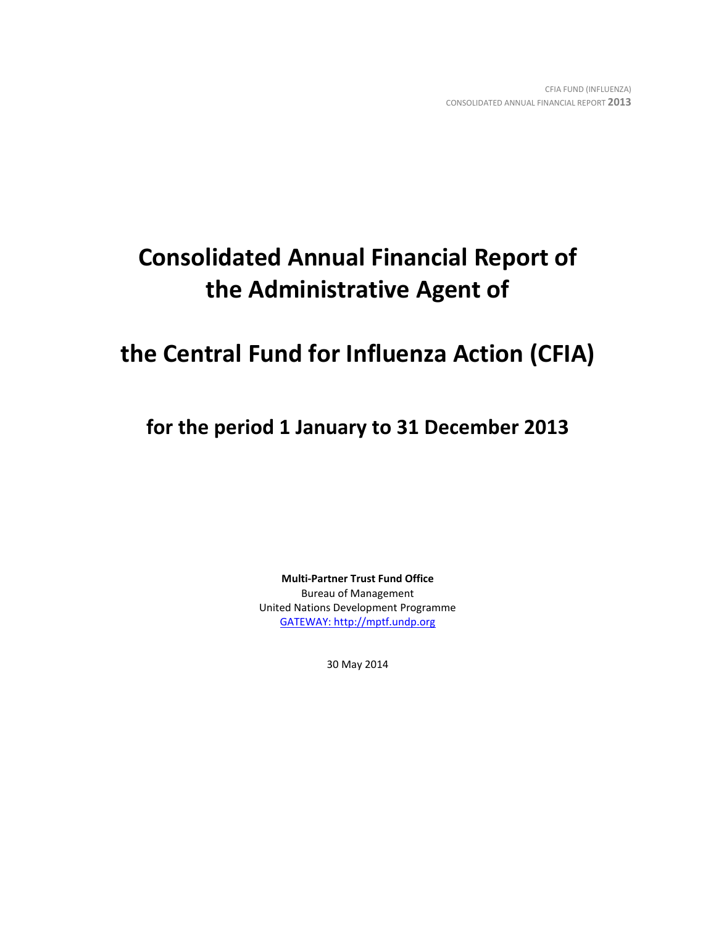# **Consolidated Annual Financial Report of the Administrative Agent of**

# **the Central Fund for Influenza Action (CFIA)**

**for the period 1 January to 31 December 2013**

**Multi-Partner Trust Fund Office** Bureau of Management United Nations Development Programme [GATEWAY: http://mptf.undp.org](http://mptf.undp.org/)

30 May 2014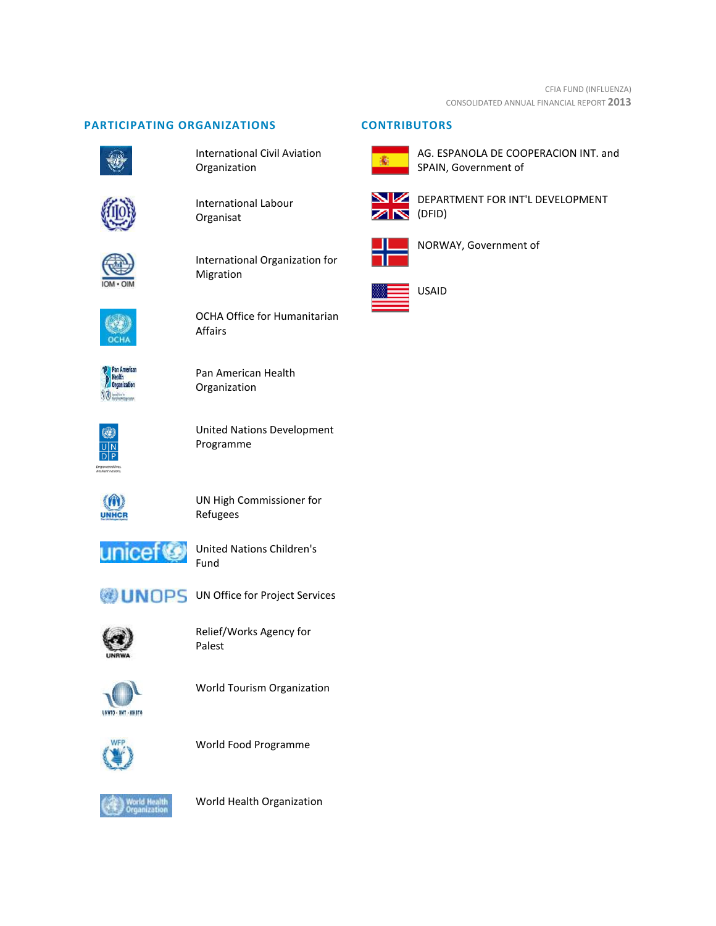# **PARTICIPATING ORGANIZATIONS CONTRIBUTORS**



International Civil Aviation Organization



International Labour Organisat



International Organization for Migration



OCHA Office for Humanitarian Affairs



Pan American Health Organization



United Nations Development Programme



UN High Commissioner for Refugees



United Nations Children's Fund



**UNOPS** UN Office for Project Services



Relief/Works Agency for Palest



World Tourism Organization



World Food Programme



World Health Organization



AG. ESPANOLA DE COOPERACION INT. and SPAIN, Government of



DEPARTMENT FOR INT'L DEVELOPMENT



NORWAY, Government of

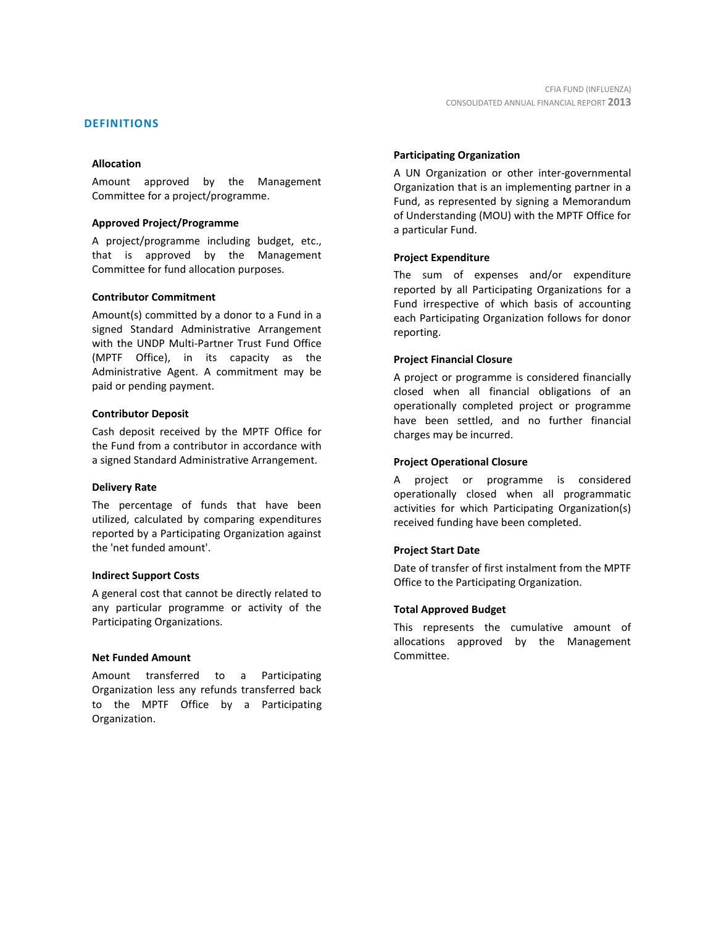# **DEFINITIONS**

#### **Allocation**

Amount approved by the Management Committee for a project/programme.

#### **Approved Project/Programme**

A project/programme including budget, etc., that is approved by the Management Committee for fund allocation purposes.

#### **Contributor Commitment**

Amount(s) committed by a donor to a Fund in a signed Standard Administrative Arrangement with the UNDP Multi-Partner Trust Fund Office (MPTF Office), in its capacity as the Administrative Agent. A commitment may be paid or pending payment.

#### **Contributor Deposit**

Cash deposit received by the MPTF Office for the Fund from a contributor in accordance with a signed Standard Administrative Arrangement.

#### **Delivery Rate**

The percentage of funds that have been utilized, calculated by comparing expenditures reported by a Participating Organization against the 'net funded amount'.

#### **Indirect Support Costs**

A general cost that cannot be directly related to any particular programme or activity of the Participating Organizations.

#### **Net Funded Amount**

Amount transferred to a Participating Organization less any refunds transferred back to the MPTF Office by a Participating Organization.

#### **Participating Organization**

A UN Organization or other inter-governmental Organization that is an implementing partner in a Fund, as represented by signing a Memorandum of Understanding (MOU) with the MPTF Office for a particular Fund.

#### **Project Expenditure**

The sum of expenses and/or expenditure reported by all Participating Organizations for a Fund irrespective of which basis of accounting each Participating Organization follows for donor reporting.

# **Project Financial Closure**

A project or programme is considered financially closed when all financial obligations of an operationally completed project or programme have been settled, and no further financial charges may be incurred.

#### **Project Operational Closure**

A project or programme is considered operationally closed when all programmatic activities for which Participating Organization(s) received funding have been completed.

# **Project Start Date**

Date of transfer of first instalment from the MPTF Office to the Participating Organization.

# **Total Approved Budget**

This represents the cumulative amount of allocations approved by the Management Committee.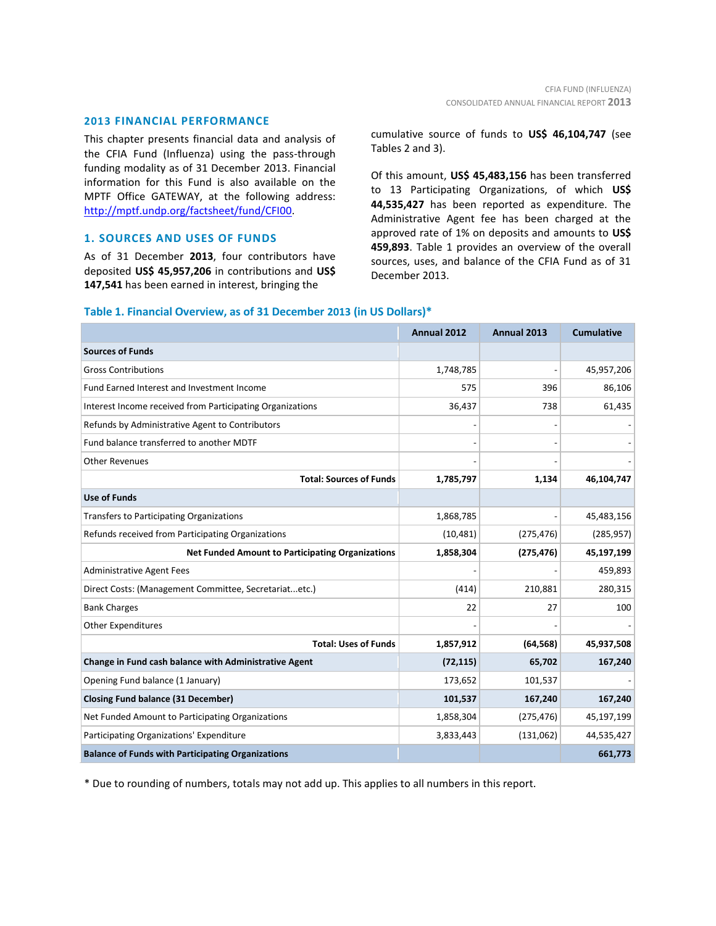# **2013 FINANCIAL PERFORMANCE**

This chapter presents financial data and analysis of the CFIA Fund (Influenza) using the pass-through funding modality as of 31 December 2013. Financial information for this Fund is also available on the MPTF Office GATEWAY, at the following address: [http://mptf.undp.org/factsheet/fund/CFI00.](http://mptf.undp.org/factsheet/fund/CFI00)

# **1. SOURCES AND USES OF FUNDS**

As of 31 December **2013**, four contributors have deposited **US\$ 45,957,206** in contributions and **US\$ 147,541** has been earned in interest, bringing the

cumulative source of funds to **US\$ 46,104,747** (see Tables 2 and 3).

Of this amount, **US\$ 45,483,156** has been transferred to 13 Participating Organizations, of which **US\$ 44,535,427** has been reported as expenditure. The Administrative Agent fee has been charged at the approved rate of 1% on deposits and amounts to **US\$ 459,893**. Table 1 provides an overview of the overall sources, uses, and balance of the CFIA Fund as of 31 December 2013.

|                                                           | Annual 2012 | Annual 2013 | <b>Cumulative</b> |
|-----------------------------------------------------------|-------------|-------------|-------------------|
| <b>Sources of Funds</b>                                   |             |             |                   |
| <b>Gross Contributions</b>                                | 1,748,785   |             | 45,957,206        |
| Fund Earned Interest and Investment Income                | 575         | 396         | 86,106            |
| Interest Income received from Participating Organizations | 36,437      | 738         | 61,435            |
| Refunds by Administrative Agent to Contributors           |             |             |                   |
| Fund balance transferred to another MDTF                  |             |             |                   |
| <b>Other Revenues</b>                                     |             |             |                   |
| <b>Total: Sources of Funds</b>                            | 1,785,797   | 1,134       | 46,104,747        |
| <b>Use of Funds</b>                                       |             |             |                   |
| Transfers to Participating Organizations                  | 1,868,785   |             | 45,483,156        |
| Refunds received from Participating Organizations         | (10, 481)   | (275, 476)  | (285, 957)        |
| <b>Net Funded Amount to Participating Organizations</b>   | 1,858,304   | (275, 476)  | 45,197,199        |
| <b>Administrative Agent Fees</b>                          |             |             | 459,893           |
| Direct Costs: (Management Committee, Secretariatetc.)     | (414)       | 210,881     | 280,315           |
| <b>Bank Charges</b>                                       | 22          | 27          | 100               |
| <b>Other Expenditures</b>                                 |             |             |                   |
| <b>Total: Uses of Funds</b>                               | 1,857,912   | (64, 568)   | 45,937,508        |
| Change in Fund cash balance with Administrative Agent     | (72, 115)   | 65,702      | 167,240           |
| Opening Fund balance (1 January)                          | 173,652     | 101,537     |                   |
| <b>Closing Fund balance (31 December)</b>                 | 101,537     | 167,240     | 167,240           |
| Net Funded Amount to Participating Organizations          | 1,858,304   | (275, 476)  | 45,197,199        |
| Participating Organizations' Expenditure                  | 3,833,443   | (131,062)   | 44,535,427        |
| <b>Balance of Funds with Participating Organizations</b>  |             |             | 661,773           |

# **Table 1. Financial Overview, as of 31 December 2013 (in US Dollars)\***

\* Due to rounding of numbers, totals may not add up. This applies to all numbers in this report.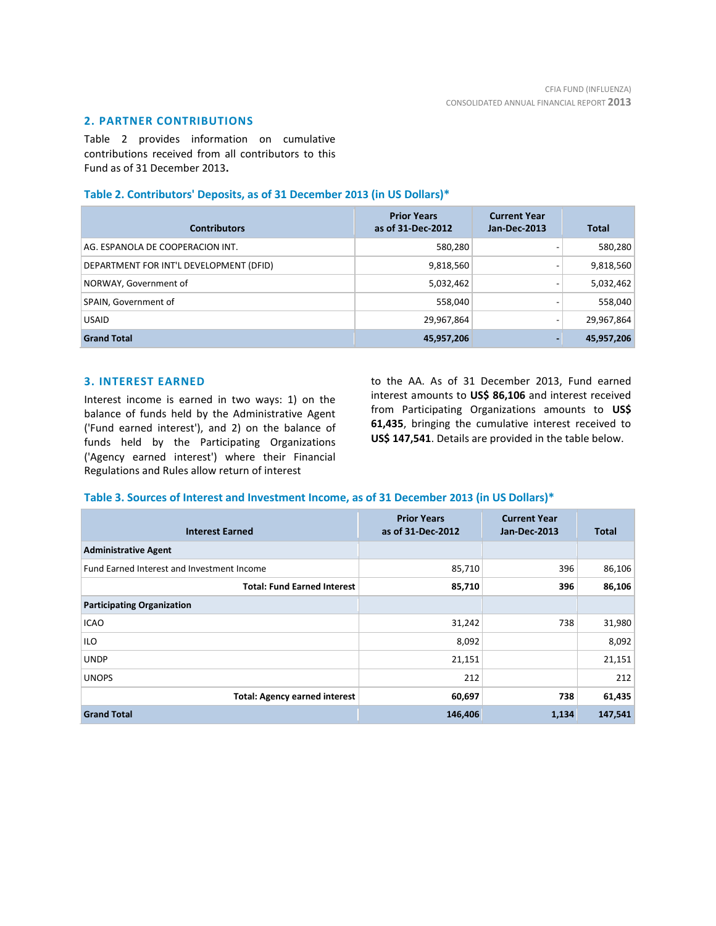# **2. PARTNER CONTRIBUTIONS**

Table 2 provides information on cumulative contributions received from all contributors to this Fund as of 31 December 2013**.**

# **Table 2. Contributors' Deposits, as of 31 December 2013 (in US Dollars)\***

| <b>Contributors</b>                     | <b>Prior Years</b><br>as of 31-Dec-2012 | <b>Current Year</b><br>Jan-Dec-2013 | <b>Total</b> |
|-----------------------------------------|-----------------------------------------|-------------------------------------|--------------|
| AG. ESPANOLA DE COOPERACION INT.        | 580,280                                 |                                     | 580,280      |
| DEPARTMENT FOR INT'L DEVELOPMENT (DFID) | 9,818,560                               | -                                   | 9,818,560    |
| NORWAY, Government of                   | 5,032,462                               |                                     | 5,032,462    |
| SPAIN, Government of                    | 558,040                                 |                                     | 558,040      |
| <b>USAID</b>                            | 29,967,864                              |                                     | 29,967,864   |
| <b>Grand Total</b>                      | 45,957,206                              | -                                   | 45,957,206   |

# **3. INTEREST EARNED**

Interest income is earned in two ways: 1) on the balance of funds held by the Administrative Agent ('Fund earned interest'), and 2) on the balance of funds held by the Participating Organizations ('Agency earned interest') where their Financial Regulations and Rules allow return of interest

to the AA. As of 31 December 2013, Fund earned interest amounts to **US\$ 86,106** and interest received from Participating Organizations amounts to **US\$ 61,435**, bringing the cumulative interest received to **US\$ 147,541**. Details are provided in the table below.

# **Table 3. Sources of Interest and Investment Income, as of 31 December 2013 (in US Dollars)\***

| <b>Interest Earned</b>                     | <b>Prior Years</b><br>as of 31-Dec-2012 | <b>Current Year</b><br>Jan-Dec-2013 | <b>Total</b> |
|--------------------------------------------|-----------------------------------------|-------------------------------------|--------------|
| <b>Administrative Agent</b>                |                                         |                                     |              |
| Fund Earned Interest and Investment Income | 85,710                                  | 396                                 | 86,106       |
| <b>Total: Fund Earned Interest</b>         | 85,710                                  | 396                                 | 86,106       |
| <b>Participating Organization</b>          |                                         |                                     |              |
| <b>ICAO</b>                                | 31,242                                  | 738                                 | 31,980       |
| ILO                                        | 8,092                                   |                                     | 8,092        |
| <b>UNDP</b>                                | 21,151                                  |                                     | 21,151       |
| <b>UNOPS</b>                               | 212                                     |                                     | 212          |
| <b>Total: Agency earned interest</b>       | 60,697                                  | 738                                 | 61,435       |
| <b>Grand Total</b>                         | 146,406                                 | 1,134                               | 147,541      |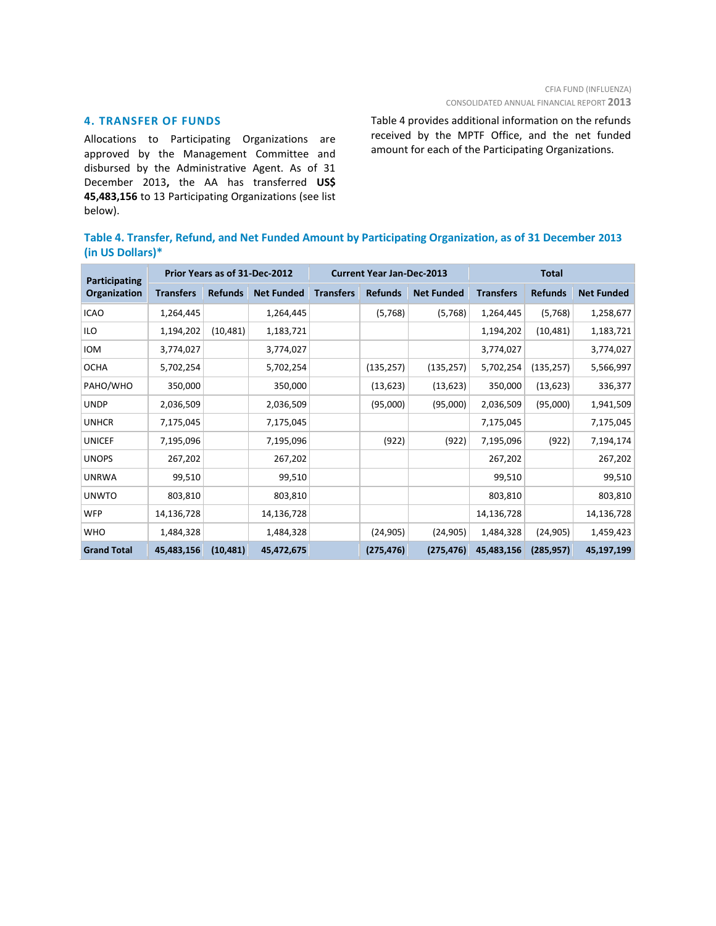# **4. TRANSFER OF FUNDS**

Allocations to Participating Organizations are approved by the Management Committee and disbursed by the Administrative Agent. As of 31 December 2013**,** the AA has transferred **US\$ 45,483,156** to 13 Participating Organizations (see list below).

Table 4 provides additional information on the refunds received by the MPTF Office, and the net funded amount for each of the Participating Organizations.

|                     | Table 4. Transfer, Refund, and Net Funded Amount by Participating Organization, as of 31 December 2013 |  |  |
|---------------------|--------------------------------------------------------------------------------------------------------|--|--|
| (in US Dollars) $*$ |                                                                                                        |  |  |

| Participating      |                  | Prior Years as of 31-Dec-2012 |                   | <b>Current Year Jan-Dec-2013</b> |                |                   | <b>Total</b>     |                |                   |  |
|--------------------|------------------|-------------------------------|-------------------|----------------------------------|----------------|-------------------|------------------|----------------|-------------------|--|
| Organization       | <b>Transfers</b> | <b>Refunds</b>                | <b>Net Funded</b> | <b>Transfers</b>                 | <b>Refunds</b> | <b>Net Funded</b> | <b>Transfers</b> | <b>Refunds</b> | <b>Net Funded</b> |  |
| <b>ICAO</b>        | 1,264,445        |                               | 1,264,445         |                                  | (5,768)        | (5,768)           | 1,264,445        | (5,768)        | 1,258,677         |  |
| ILO                | 1,194,202        | (10, 481)                     | 1,183,721         |                                  |                |                   | 1,194,202        | (10, 481)      | 1,183,721         |  |
| <b>IOM</b>         | 3,774,027        |                               | 3,774,027         |                                  |                |                   | 3,774,027        |                | 3,774,027         |  |
| <b>OCHA</b>        | 5,702,254        |                               | 5,702,254         |                                  | (135, 257)     | (135, 257)        | 5,702,254        | (135, 257)     | 5,566,997         |  |
| PAHO/WHO           | 350,000          |                               | 350,000           |                                  | (13, 623)      | (13, 623)         | 350,000          | (13, 623)      | 336,377           |  |
| <b>UNDP</b>        | 2,036,509        |                               | 2,036,509         |                                  | (95,000)       | (95,000)          | 2,036,509        | (95,000)       | 1,941,509         |  |
| <b>UNHCR</b>       | 7,175,045        |                               | 7,175,045         |                                  |                |                   | 7,175,045        |                | 7,175,045         |  |
| <b>UNICEF</b>      | 7,195,096        |                               | 7,195,096         |                                  | (922)          | (922)             | 7,195,096        | (922)          | 7,194,174         |  |
| <b>UNOPS</b>       | 267,202          |                               | 267,202           |                                  |                |                   | 267,202          |                | 267,202           |  |
| <b>UNRWA</b>       | 99,510           |                               | 99,510            |                                  |                |                   | 99,510           |                | 99,510            |  |
| <b>UNWTO</b>       | 803,810          |                               | 803,810           |                                  |                |                   | 803,810          |                | 803,810           |  |
| <b>WFP</b>         | 14,136,728       |                               | 14,136,728        |                                  |                |                   | 14,136,728       |                | 14,136,728        |  |
| <b>WHO</b>         | 1,484,328        |                               | 1,484,328         |                                  | (24, 905)      | (24, 905)         | 1,484,328        | (24, 905)      | 1,459,423         |  |
| <b>Grand Total</b> | 45,483,156       | (10, 481)                     | 45,472,675        |                                  | (275, 476)     | (275, 476)        | 45,483,156       | (285, 957)     | 45,197,199        |  |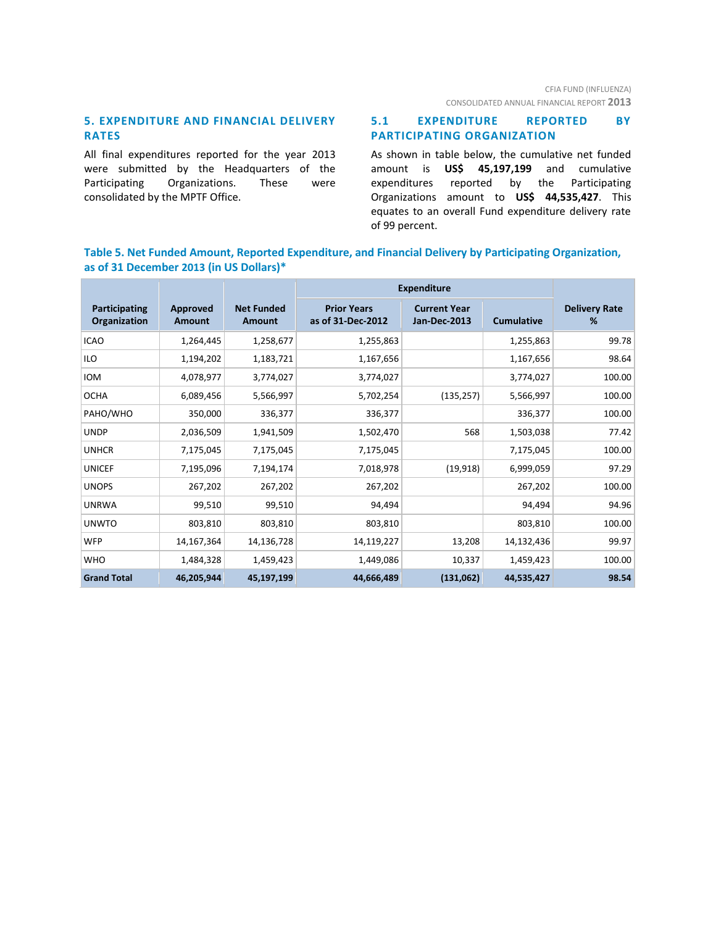# **5. EXPENDITURE AND FINANCIAL DELIVERY RATES**

All final expenditures reported for the year 2013 were submitted by the Headquarters of the Participating Organizations. These were consolidated by the MPTF Office.

# **5.1 EXPENDITURE REPORTED BY PARTICIPATING ORGANIZATION**

As shown in table below, the cumulative net funded amount is **US\$ 45,197,199** and cumulative expenditures reported by the Participating Organizations amount to **US\$ 44,535,427**. This equates to an overall Fund expenditure delivery rate of 99 percent.

# **Table 5. Net Funded Amount, Reported Expenditure, and Financial Delivery by Participating Organization, as of 31 December 2013 (in US Dollars)\***

|                               |                           |                                    | <b>Expenditure</b>                      |                                            |                   |                           |
|-------------------------------|---------------------------|------------------------------------|-----------------------------------------|--------------------------------------------|-------------------|---------------------------|
| Participating<br>Organization | <b>Approved</b><br>Amount | <b>Net Funded</b><br><b>Amount</b> | <b>Prior Years</b><br>as of 31-Dec-2012 | <b>Current Year</b><br><b>Jan-Dec-2013</b> | <b>Cumulative</b> | <b>Delivery Rate</b><br>% |
| <b>ICAO</b>                   | 1,264,445                 | 1,258,677                          | 1,255,863                               |                                            | 1,255,863         | 99.78                     |
| ILO                           | 1,194,202                 | 1,183,721                          | 1,167,656                               |                                            | 1,167,656         | 98.64                     |
| <b>IOM</b>                    | 4,078,977                 | 3,774,027                          | 3,774,027                               |                                            | 3,774,027         | 100.00                    |
| <b>OCHA</b>                   | 6,089,456                 | 5,566,997                          | 5,702,254                               | (135, 257)                                 | 5,566,997         | 100.00                    |
| PAHO/WHO                      | 350,000                   | 336,377                            | 336,377                                 |                                            | 336,377           | 100.00                    |
| <b>UNDP</b>                   | 2,036,509                 | 1,941,509                          | 1,502,470                               | 568                                        | 1,503,038         | 77.42                     |
| <b>UNHCR</b>                  | 7,175,045                 | 7,175,045                          | 7,175,045                               |                                            | 7,175,045         | 100.00                    |
| <b>UNICEF</b>                 | 7,195,096                 | 7,194,174                          | 7,018,978                               | (19, 918)                                  | 6,999,059         | 97.29                     |
| <b>UNOPS</b>                  | 267,202                   | 267,202                            | 267,202                                 |                                            | 267,202           | 100.00                    |
| <b>UNRWA</b>                  | 99,510                    | 99,510                             | 94,494                                  |                                            | 94,494            | 94.96                     |
| <b>UNWTO</b>                  | 803,810                   | 803,810                            | 803,810                                 |                                            | 803,810           | 100.00                    |
| <b>WFP</b>                    | 14,167,364                | 14,136,728                         | 14,119,227                              | 13,208                                     | 14,132,436        | 99.97                     |
| <b>WHO</b>                    | 1,484,328                 | 1,459,423                          | 1,449,086                               | 10,337                                     | 1,459,423         | 100.00                    |
| <b>Grand Total</b>            | 46,205,944                | 45,197,199                         | 44,666,489                              | (131,062)                                  | 44,535,427        | 98.54                     |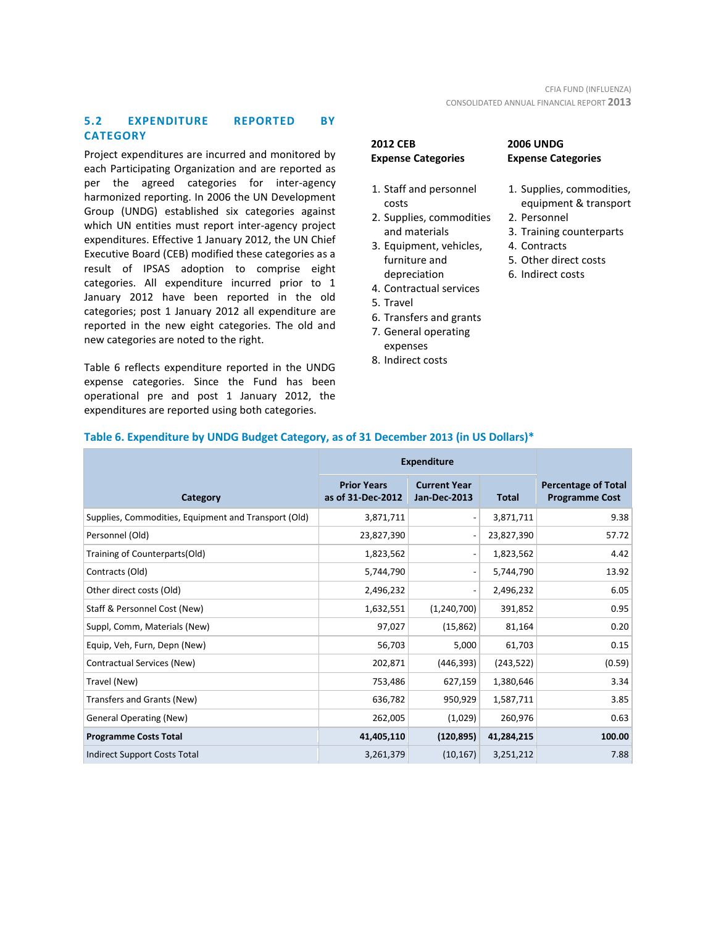# **5.2 EXPENDITURE REPORTED BY CATEGORY**

Project expenditures are incurred and monitored by each Participating Organization and are reported as per the agreed categories for inter-agency harmonized reporting. In 2006 the UN Development Group (UNDG) established six categories against which UN entities must report inter-agency project expenditures. Effective 1 January 2012, the UN Chief Executive Board (CEB) modified these categories as a result of IPSAS adoption to comprise eight categories. All expenditure incurred prior to 1 January 2012 have been reported in the old categories; post 1 January 2012 all expenditure are reported in the new eight categories. The old and new categories are noted to the right.

Table 6 reflects expenditure reported in the UNDG expense categories. Since the Fund has been operational pre and post 1 January 2012, the expenditures are reported using both categories.

# **2012 CEB Expense Categories**

# **2006 UNDG**

- 1. Staff and personnel costs
- 2. Supplies, commodities and materials
- 3. Equipment, vehicles, furniture and depreciation
- 4. Contractual services
- 5. Travel
- 6. Transfers and grants
- 7. General operating expenses
- 8. Indirect costs

| -------                   |  |
|---------------------------|--|
| <b>Expense Categories</b> |  |

- 1. Supplies, commodities, equipment & transport
- 2. Personnel
- 3. Training counterparts
- 4. Contracts
- 5. Other direct costs
- 6. Indirect costs

|                                                      | <b>Expenditure</b>                      |                                            |              |                                                     |
|------------------------------------------------------|-----------------------------------------|--------------------------------------------|--------------|-----------------------------------------------------|
| Category                                             | <b>Prior Years</b><br>as of 31-Dec-2012 | <b>Current Year</b><br><b>Jan-Dec-2013</b> | <b>Total</b> | <b>Percentage of Total</b><br><b>Programme Cost</b> |
| Supplies, Commodities, Equipment and Transport (Old) | 3,871,711                               |                                            | 3,871,711    | 9.38                                                |
| Personnel (Old)                                      | 23,827,390                              |                                            | 23,827,390   | 57.72                                               |
| Training of Counterparts(Old)                        | 1,823,562                               |                                            | 1,823,562    | 4.42                                                |
| Contracts (Old)                                      | 5,744,790                               |                                            | 5,744,790    | 13.92                                               |
| Other direct costs (Old)                             | 2,496,232                               |                                            | 2,496,232    | 6.05                                                |
| Staff & Personnel Cost (New)                         | 1,632,551                               | (1,240,700)                                | 391,852      | 0.95                                                |
| Suppl, Comm, Materials (New)                         | 97,027                                  | (15, 862)                                  | 81,164       | 0.20                                                |
| Equip, Veh, Furn, Depn (New)                         | 56,703                                  | 5,000                                      | 61,703       | 0.15                                                |
| Contractual Services (New)                           | 202,871                                 | (446, 393)                                 | (243, 522)   | (0.59)                                              |
| Travel (New)                                         | 753,486                                 | 627,159                                    | 1,380,646    | 3.34                                                |
| Transfers and Grants (New)                           | 636,782                                 | 950,929                                    | 1,587,711    | 3.85                                                |
| <b>General Operating (New)</b>                       | 262,005                                 | (1,029)                                    | 260,976      | 0.63                                                |
| <b>Programme Costs Total</b>                         | 41,405,110                              | (120, 895)                                 | 41,284,215   | 100.00                                              |
| Indirect Support Costs Total                         | 3,261,379                               | (10, 167)                                  | 3,251,212    | 7.88                                                |

# **Table 6. Expenditure by UNDG Budget Category, as of 31 December 2013 (in US Dollars)\***